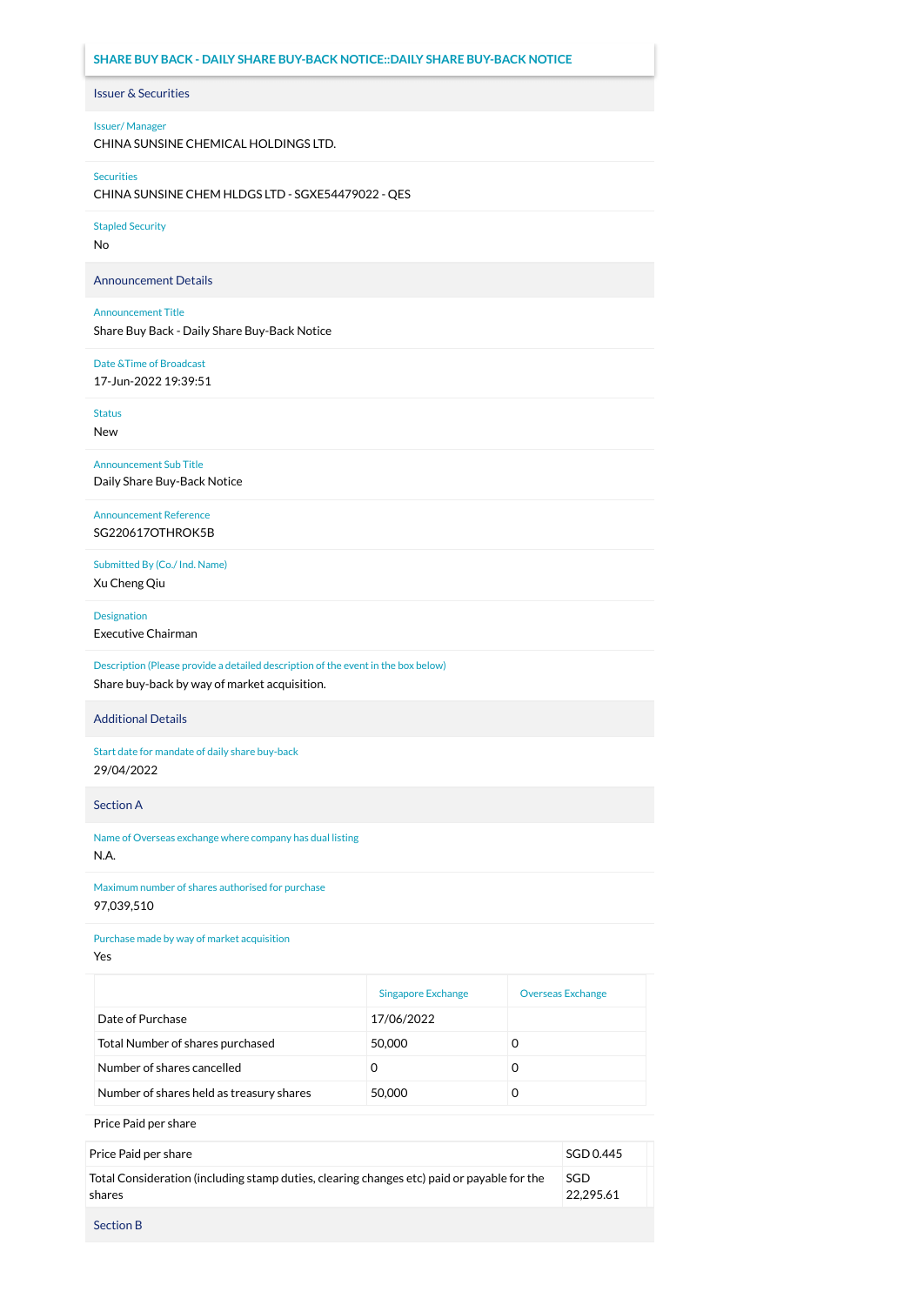# **SHARE BUY BACK - DAILY SHARE BUY-BACK NOTICE::DAILY SHARE BUY-BACK NOTICE**

# Issuer & Securities

# Issuer/ Manager

CHINA SUNSINE CHEMICAL HOLDINGS LTD.

### Securities

CHINA SUNSINE CHEM HLDGS LTD - SGXE54479022 - QES

# Stapled Security

No

# Announcement Details

# Announcement Title

Share Buy Back - Daily Share Buy-Back Notice

# Date &Time of Broadcast

17-Jun-2022 19:39:51

Status New

# Announcement Sub Title Daily Share Buy-Back Notice

Announcement Reference SG220617OTHROK5B

Submitted By (Co./ Ind. Name) Xu Cheng Qiu

## Designation

Executive Chairman

Description (Please provide a detailed description of the event in the box below) Share buy-back by way of market acquisition.

# Additional Details

Start date for mandate of daily share buy-back 29/04/2022

Section A

Name of Overseas exchange where company has dual listing N.A.

Maximum number of shares authorised for purchase 97,039,510

# Purchase made by way of market acquisition

Yes

|                                          | <b>Singapore Exchange</b> | <b>Overseas Exchange</b> |
|------------------------------------------|---------------------------|--------------------------|
| Date of Purchase                         | 17/06/2022                |                          |
| Total Number of shares purchased         | 50,000                    | O                        |
| Number of shares cancelled               | O                         | 0                        |
| Number of shares held as treasury shares | 50,000                    | O                        |

Price Paid per share

| Price Paid per share                                                                                 | SGD 0.445        |
|------------------------------------------------------------------------------------------------------|------------------|
| Total Consideration (including stamp duties, clearing changes etc) paid or payable for the<br>shares | SGD<br>22.295.61 |
| <b>Section B</b>                                                                                     |                  |